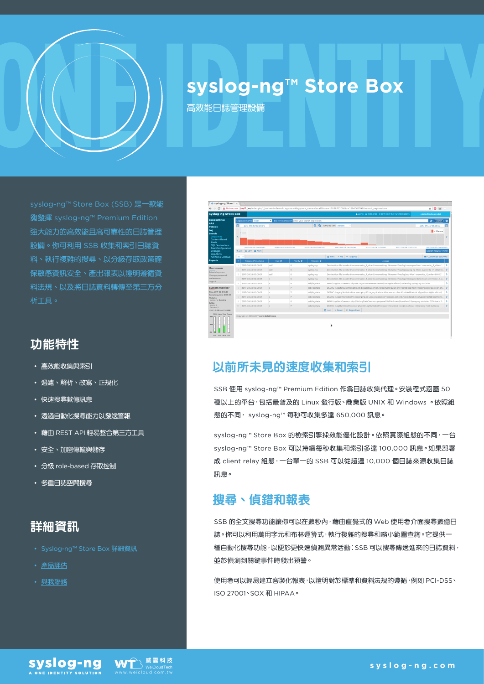

# **syslog-ng™ Store Box**

高效能日誌管理設備

強大能力的高效能且高可靠性的日誌管理 設備。你可利用 SSB 收集和索引日誌資 料、執行複雜的搜尋、以分級存取政策確 保敏感資訊安全、產出報表以證明遵循資 料法規、以及將日誌資料轉傳至第三方分 析工具。

# 功能特性

- 高效能收集與索引
- 過濾、解析、改寫、正規化
- 快速搜尋數億訊息
- 透過自動化搜尋能力以發送警報
- 藉由 REST API 輕易整合第三方工具
- 安全、加密傳輸與儲存
- 分級 role-based 存取控制
- 多重日誌空間搜尋

### 詳細資訊

- [Syslog-ng™ Store Box](https://syslog-ng.com/) 詳細資訊
- [產品評估](https://syslog-ng.com/log-management-software/trial)
- [與我聯絡](https://syslog-ng.com/log-management-software/pricing)



# 以前所未見的速度收集和索引

SSB 使用 syslog-ng™ Premium Edition 作為日誌收集代理。安裝程式涵蓋 50 種以上的平台,包括最普及的 Linux 發行版、商業版 UNIX 和 Windows 。依照組 態的不同, syslog-ng™ 每秒可收集多達 650,000 訊息。

syslog-ng™ Store Box 的檢索引擎採效能優化設計。依照實際組態的不同,一台 syslog-ng™ Store Box 可以持續每秒收集和索引多達 100,000 訊息。如果部署 成 client relay 組態,一台單一的 SSB 可以從超過 10,000 個日誌來源收集日誌 訊息。

# 搜尋、偵錯和報表

SSB 的全文搜尋功能讓你可以在數秒內,藉由直覺式的 Web 使用者介面搜尋數億日 誌。你可以利用萬用字元和布林運算式,執行複雜的搜尋和縮小範圍查詢。它提供一 種自動化搜尋功能,以便於更快速偵測異常活動:SSB 可以搜尋傳送進來的日誌資料, 並於偵測到關鍵事件時發出預警。

使用者可以輕易建立客製化報表,以證明對於標準和資料法規的遵循,例如 PCI-DSS、 ISO 27001、SOX 和 HIPAA。



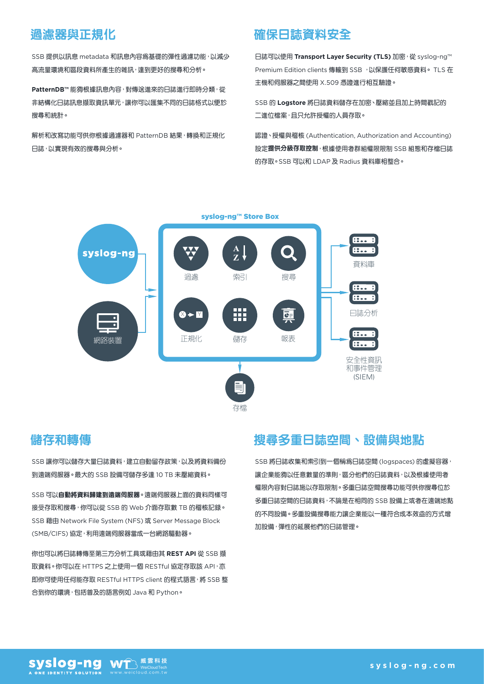### 過濾器與正規化

SSB 提供以訊息 metadata 和訊息內容為基礎的彈性過濾功能, 以減少 高流量環境和區段資料所產生的雜訊,達到更好的搜尋和分析。

**PatternDB™ 能夠根據訊息內容,對傳送進來的日誌進行即時分類,從** 非結構化日誌訊息擷取資訊單元,讓你可以匯集不同的日誌格式以便於 搜尋和統計。

解析和改寫功能可供你根據過濾器和 PatternDB 結果,轉換和正規化 日誌,以實現有效的搜尋與分析。

### 確保日誌資料安全

日誌可以使用 **Transport Layer Security (TLS)** 加密,從 syslog-ng™ Premium Edition clients 傳輸到 SSB ,以保護任何敏感資料。 TLS 在 主機和伺服器之間使用 X.509 憑證進行相互驗證。

SSB 的 **Logstore** 將日誌資料儲存在加密、壓縮並且加上時間戳記的 二進位檔案,且只允許授權的人員存取。

認證、授權與稽核 (Authentication, Authorization and Accounting) 設定提供分級存取控制,根據使用者群組權限限制 SSB 組態和存檔日誌 的存取。SSB 可以和 LDAP 及 Radius 資料庫相整合。



#### 儲存和轉傳

SSB 讓你可以儲存大量日誌資料,建立自動留存政策,以及將資料備份 到遠端伺服器。最大的 SSB 設備可儲存多達 10 TB 未壓縮資料。

SSB 可以自動將資料歸建到遠端伺服器。遠端伺服器上面的資料同樣可 接受存取和搜尋,你可以從 SSB 的 Web 介面存取數 TB 的稽核記錄。 SSB 藉由 Network File System (NFS) 或 Server Message Block (SMB/CIFS) 協定,利用遠端伺服器當成一台網路驅動器。

你也可以將日誌轉傳至第三方分析工具或藉由其 **REST API** 從 SSB 擷 取資料。你可以在 HTTPS 之上使用一個 RESTful 協定存取該 API, 亦 即你可使用任何能存取 RESTful HTTPS client 的程式語言,將 SSB 整 合到你的環境,包括普及的語言例如 Java 和 Python。

# **搜尋多重日誌空間、設備與地點**

SSB 將日誌收集和索引到一個稱為日誌空間 (logspaces) 的虛擬容器, 讓企業能夠以任意數量的準則,區分他們的日誌資料,以及根據使用者 權限內容對日誌施以存取限制。多重日誌空間搜尋功能可供你搜尋位於 多重日誌空間的日誌資料,不論是在相同的 SSB 設備上或者在遠端地點 的不同設備。多重設備搜尋能力讓企業能以一種符合成本效益的方式增 加設備,彈性的延展他們的日誌管理。

syslog-ng 威雲科技 WT